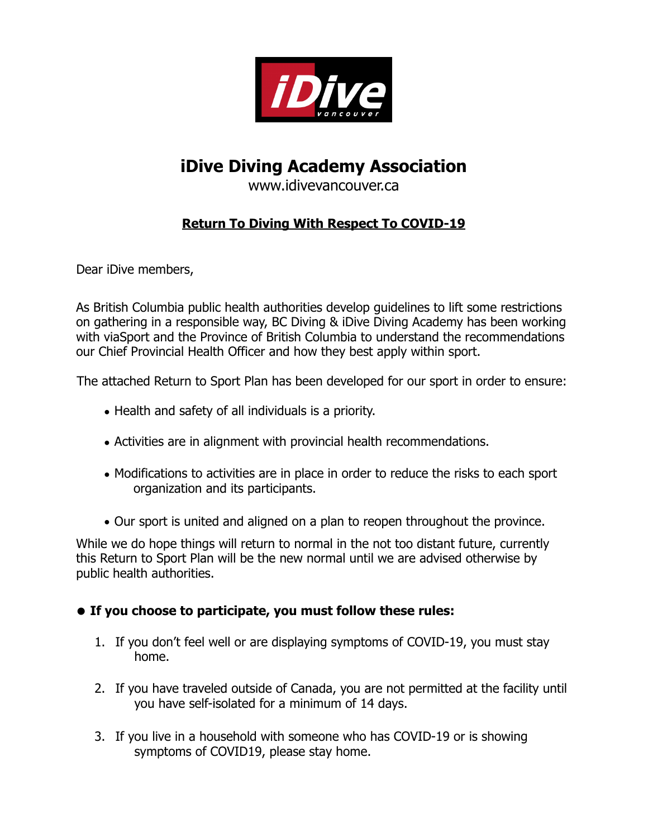

# **iDive Diving Academy Association**

www.idivevancouver.ca

## **Return To Diving With Respect To COVID-19**

Dear iDive members,

As British Columbia public health authorities develop guidelines to lift some restrictions on gathering in a responsible way, BC Diving & iDive Diving Academy has been working with viaSport and the Province of British Columbia to understand the recommendations our Chief Provincial Health Officer and how they best apply within sport.

The attached Return to Sport Plan has been developed for our sport in order to ensure:

- Health and safety of all individuals is a priority.
- Activities are in alignment with provincial health recommendations.
- Modifications to activities are in place in order to reduce the risks to each sport organization and its participants.
- Our sport is united and aligned on a plan to reopen throughout the province.

While we do hope things will return to normal in the not too distant future, currently this Return to Sport Plan will be the new normal until we are advised otherwise by public health authorities.

#### **• If you choose to participate, you must follow these rules:**

- 1. If you don't feel well or are displaying symptoms of COVID-19, you must stay home.
- 2. If you have traveled outside of Canada, you are not permitted at the facility until you have self-isolated for a minimum of 14 days.
- 3. If you live in a household with someone who has COVID-19 or is showing symptoms of COVID19, please stay home.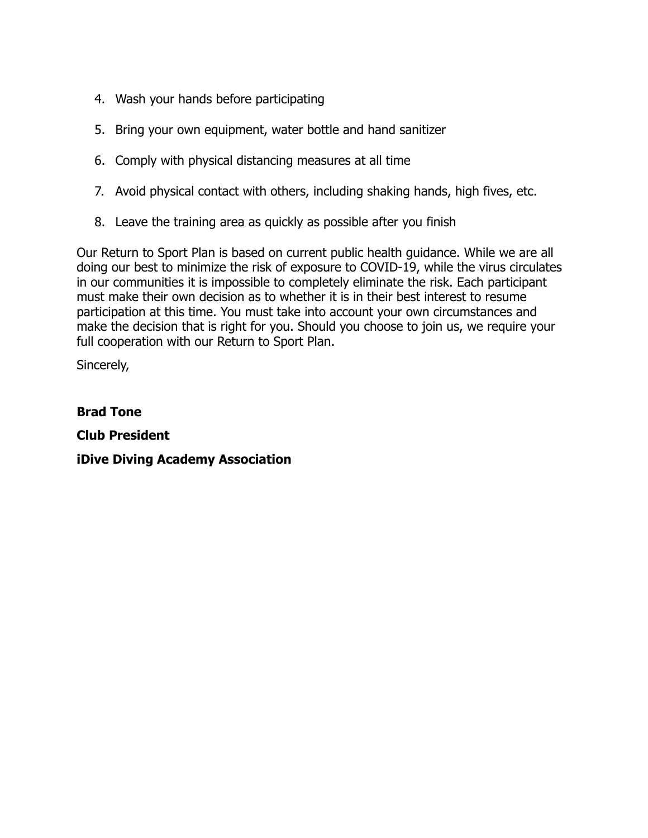- 4. Wash your hands before participating
- 5. Bring your own equipment, water bottle and hand sanitizer
- 6. Comply with physical distancing measures at all time
- 7. Avoid physical contact with others, including shaking hands, high fives, etc.
- 8. Leave the training area as quickly as possible after you finish

Our Return to Sport Plan is based on current public health guidance. While we are all doing our best to minimize the risk of exposure to COVID-19, while the virus circulates in our communities it is impossible to completely eliminate the risk. Each participant must make their own decision as to whether it is in their best interest to resume participation at this time. You must take into account your own circumstances and make the decision that is right for you. Should you choose to join us, we require your full cooperation with our Return to Sport Plan.

Sincerely,

**Brad Tone Club President iDive Diving Academy Association**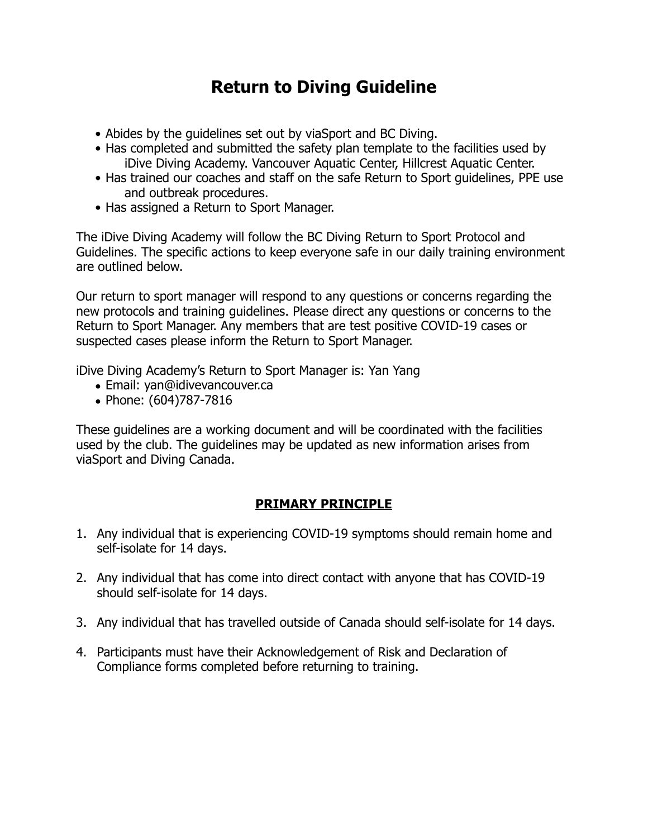# **Return to Diving Guideline**

- Abides by the guidelines set out by viaSport and BC Diving.
- Has completed and submitted the safety plan template to the facilities used by iDive Diving Academy. Vancouver Aquatic Center, Hillcrest Aquatic Center.
- Has trained our coaches and staff on the safe Return to Sport guidelines, PPE use and outbreak procedures.
- Has assigned a Return to Sport Manager.

The iDive Diving Academy will follow the BC Diving Return to Sport Protocol and Guidelines. The specific actions to keep everyone safe in our daily training environment are outlined below.

Our return to sport manager will respond to any questions or concerns regarding the new protocols and training guidelines. Please direct any questions or concerns to the Return to Sport Manager. Any members that are test positive COVID-19 cases or suspected cases please inform the Return to Sport Manager.

iDive Diving Academy's Return to Sport Manager is: Yan Yang

- Email: yan@idivevancouver.ca
- Phone: (604)787-7816

These guidelines are a working document and will be coordinated with the facilities used by the club. The guidelines may be updated as new information arises from viaSport and Diving Canada.

## **PRIMARY PRINCIPLE**

- 1. Any individual that is experiencing COVID-19 symptoms should remain home and self-isolate for 14 days.
- 2. Any individual that has come into direct contact with anyone that has COVID-19 should self-isolate for 14 days.
- 3. Any individual that has travelled outside of Canada should self-isolate for 14 days.
- 4. Participants must have their Acknowledgement of Risk and Declaration of Compliance forms completed before returning to training.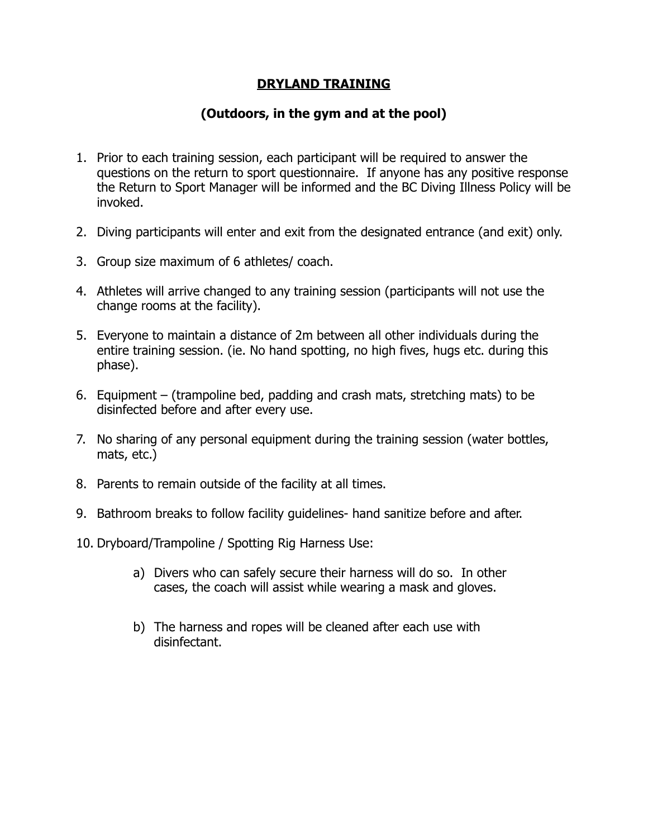#### **DRYLAND TRAINING**

#### **(Outdoors, in the gym and at the pool)**

- 1. Prior to each training session, each participant will be required to answer the questions on the return to sport questionnaire. If anyone has any positive response the Return to Sport Manager will be informed and the BC Diving Illness Policy will be invoked.
- 2. Diving participants will enter and exit from the designated entrance (and exit) only.
- 3. Group size maximum of 6 athletes/ coach.
- 4. Athletes will arrive changed to any training session (participants will not use the change rooms at the facility).
- 5. Everyone to maintain a distance of 2m between all other individuals during the entire training session. (ie. No hand spotting, no high fives, hugs etc. during this phase).
- 6. Equipment (trampoline bed, padding and crash mats, stretching mats) to be disinfected before and after every use.
- 7. No sharing of any personal equipment during the training session (water bottles, mats, etc.)
- 8. Parents to remain outside of the facility at all times.
- 9. Bathroom breaks to follow facility guidelines- hand sanitize before and after.
- 10. Dryboard/Trampoline / Spotting Rig Harness Use:
	- a) Divers who can safely secure their harness will do so. In other cases, the coach will assist while wearing a mask and gloves.
	- b) The harness and ropes will be cleaned after each use with disinfectant.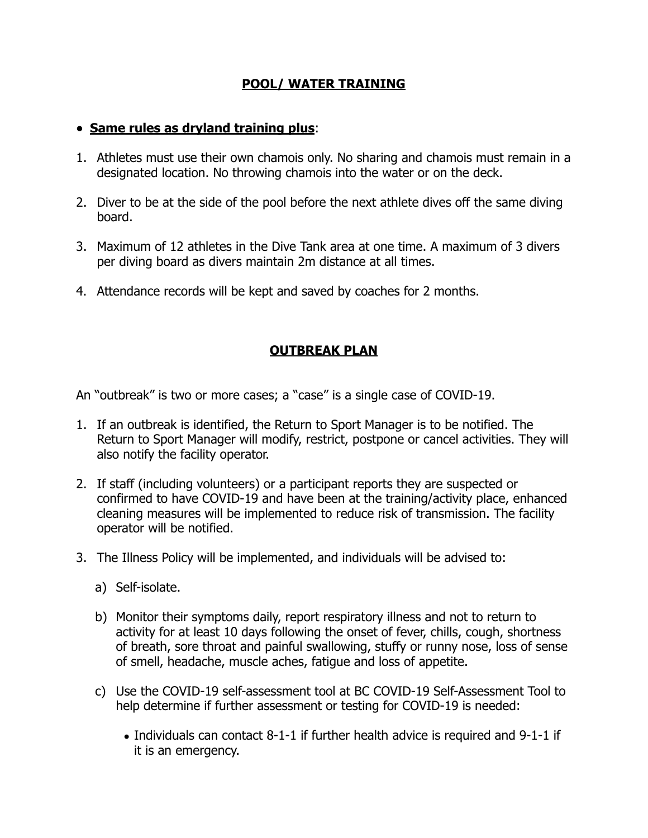## **POOL/ WATER TRAINING**

#### • **Same rules as dryland training plus**:

- 1. Athletes must use their own chamois only. No sharing and chamois must remain in a designated location. No throwing chamois into the water or on the deck.
- 2. Diver to be at the side of the pool before the next athlete dives off the same diving board.
- 3. Maximum of 12 athletes in the Dive Tank area at one time. A maximum of 3 divers per diving board as divers maintain 2m distance at all times.
- 4. Attendance records will be kept and saved by coaches for 2 months.

#### **OUTBREAK PLAN**

An "outbreak" is two or more cases; a "case" is a single case of COVID-19.

- 1. If an outbreak is identified, the Return to Sport Manager is to be notified. The Return to Sport Manager will modify, restrict, postpone or cancel activities. They will also notify the facility operator.
- 2. If staff (including volunteers) or a participant reports they are suspected or confirmed to have COVID-19 and have been at the training/activity place, enhanced cleaning measures will be implemented to reduce risk of transmission. The facility operator will be notified.
- 3. The Illness Policy will be implemented, and individuals will be advised to:
	- a) Self-isolate.
	- b) Monitor their symptoms daily, report respiratory illness and not to return to activity for at least 10 days following the onset of fever, chills, cough, shortness of breath, sore throat and painful swallowing, stuffy or runny nose, loss of sense of smell, headache, muscle aches, fatigue and loss of appetite.
	- c) Use the COVID-19 self-assessment tool at BC COVID-19 Self-Assessment Tool to help determine if further assessment or testing for COVID-19 is needed:
		- Individuals can contact 8-1-1 if further health advice is required and 9-1-1 if it is an emergency.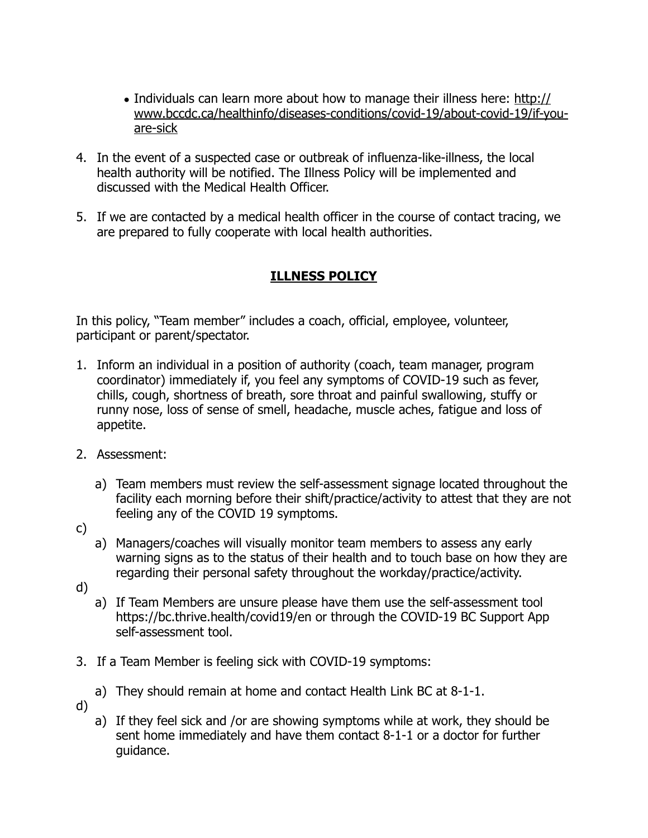- Individuals can learn more about how to manage their illness here: [http://](http://www.bccdc.ca/healthinfo/diseases-conditions/covid-19/about-covid-19/if-you-are-sick) [www.bccdc.ca/healthinfo/diseases-conditions/covid-19/about-covid-19/if-you](http://www.bccdc.ca/healthinfo/diseases-conditions/covid-19/about-covid-19/if-you-are-sick)[are-sick](http://www.bccdc.ca/healthinfo/diseases-conditions/covid-19/about-covid-19/if-you-are-sick)
- 4. In the event of a suspected case or outbreak of influenza-like-illness, the local health authority will be notified. The Illness Policy will be implemented and discussed with the Medical Health Officer.
- 5. If we are contacted by a medical health officer in the course of contact tracing, we are prepared to fully cooperate with local health authorities.

# **ILLNESS POLICY**

In this policy, "Team member" includes a coach, official, employee, volunteer, participant or parent/spectator.

- 1. Inform an individual in a position of authority (coach, team manager, program coordinator) immediately if, you feel any symptoms of COVID-19 such as fever, chills, cough, shortness of breath, sore throat and painful swallowing, stuffy or runny nose, loss of sense of smell, headache, muscle aches, fatigue and loss of appetite.
- 2. Assessment:
	- a) Team members must review the self-assessment signage located throughout the facility each morning before their shift/practice/activity to attest that they are not feeling any of the COVID 19 symptoms.
- c)
- a) Managers/coaches will visually monitor team members to assess any early warning signs as to the status of their health and to touch base on how they are regarding their personal safety throughout the workday/practice/activity.
- d)
- a) If Team Members are unsure please have them use the self-assessment tool https://bc.thrive.health/covid19/en or through the COVID-19 BC Support App self-assessment tool.
- 3. If a Team Member is feeling sick with COVID-19 symptoms:
	- a) They should remain at home and contact Health Link BC at 8-1-1.
- d)
- a) If they feel sick and /or are showing symptoms while at work, they should be sent home immediately and have them contact 8-1-1 or a doctor for further guidance.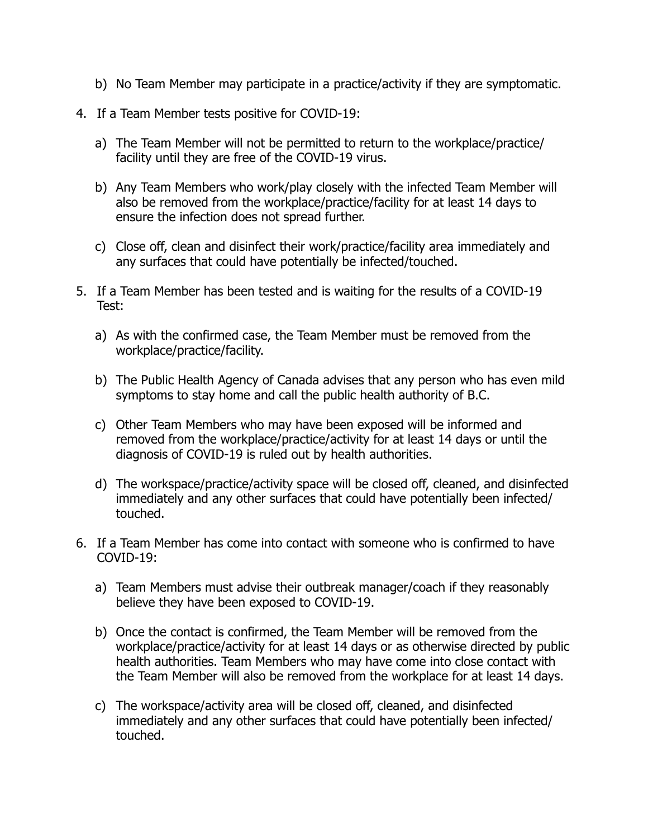- b) No Team Member may participate in a practice/activity if they are symptomatic.
- 4. If a Team Member tests positive for COVID-19:
	- a) The Team Member will not be permitted to return to the workplace/practice/ facility until they are free of the COVID-19 virus.
	- b) Any Team Members who work/play closely with the infected Team Member will also be removed from the workplace/practice/facility for at least 14 days to ensure the infection does not spread further.
	- c) Close off, clean and disinfect their work/practice/facility area immediately and any surfaces that could have potentially be infected/touched.
- 5. If a Team Member has been tested and is waiting for the results of a COVID-19 Test:
	- a) As with the confirmed case, the Team Member must be removed from the workplace/practice/facility.
	- b) The Public Health Agency of Canada advises that any person who has even mild symptoms to stay home and call the public health authority of B.C.
	- c) Other Team Members who may have been exposed will be informed and removed from the workplace/practice/activity for at least 14 days or until the diagnosis of COVID-19 is ruled out by health authorities.
	- d) The workspace/practice/activity space will be closed off, cleaned, and disinfected immediately and any other surfaces that could have potentially been infected/ touched.
- 6. If a Team Member has come into contact with someone who is confirmed to have COVID-19:
	- a) Team Members must advise their outbreak manager/coach if they reasonably believe they have been exposed to COVID-19.
	- b) Once the contact is confirmed, the Team Member will be removed from the workplace/practice/activity for at least 14 days or as otherwise directed by public health authorities. Team Members who may have come into close contact with the Team Member will also be removed from the workplace for at least 14 days.
	- c) The workspace/activity area will be closed off, cleaned, and disinfected immediately and any other surfaces that could have potentially been infected/ touched.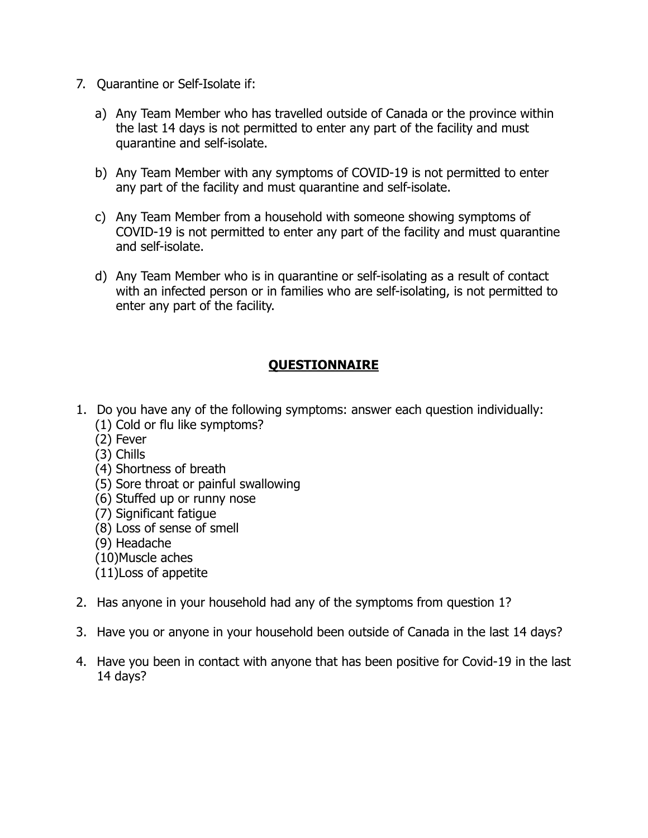- 7. Quarantine or Self-Isolate if:
	- a) Any Team Member who has travelled outside of Canada or the province within the last 14 days is not permitted to enter any part of the facility and must quarantine and self-isolate.
	- b) Any Team Member with any symptoms of COVID-19 is not permitted to enter any part of the facility and must quarantine and self-isolate.
	- c) Any Team Member from a household with someone showing symptoms of COVID-19 is not permitted to enter any part of the facility and must quarantine and self-isolate.
	- d) Any Team Member who is in quarantine or self-isolating as a result of contact with an infected person or in families who are self-isolating, is not permitted to enter any part of the facility.

## **QUESTIONNAIRE**

- 1. Do you have any of the following symptoms: answer each question individually:
	- (1) Cold or flu like symptoms?
	- (2) Fever
	- (3) Chills
	- (4) Shortness of breath
	- (5) Sore throat or painful swallowing
	- (6) Stuffed up or runny nose
	- (7) Significant fatigue
	- (8) Loss of sense of smell
	- (9) Headache
	- (10)Muscle aches
	- (11)Loss of appetite
- 2. Has anyone in your household had any of the symptoms from question 1?
- 3. Have you or anyone in your household been outside of Canada in the last 14 days?
- 4. Have you been in contact with anyone that has been positive for Covid-19 in the last 14 days?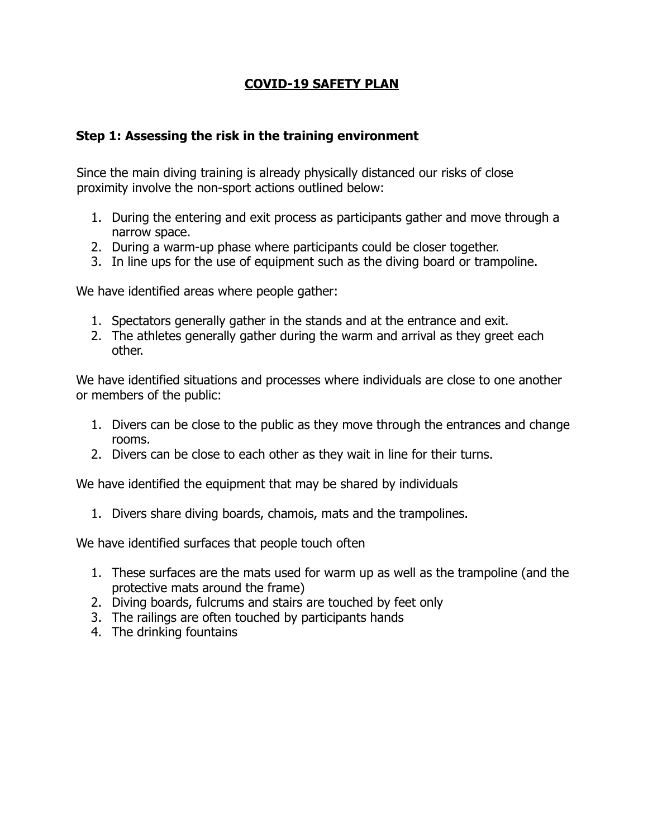## **COVID-19 SAFETY PLAN.**

#### **Step 1: Assessing the risk in the training environment**

Since the main diving training is already physically distanced our risks of close proximity involve the non-sport actions outlined below:

- 1. During the entering and exit process as participants gather and move through a narrow space.
- 2. During a warm-up phase where participants could be closer together.
- 3. In line ups for the use of equipment such as the diving board or trampoline.

We have identified areas where people gather:

- 1. Spectators generally gather in the stands and at the entrance and exit.
- 2. The athletes generally gather during the warm and arrival as they greet each other.

We have identified situations and processes where individuals are close to one another or members of the public:

- 1. Divers can be close to the public as they move through the entrances and change rooms.
- 2. Divers can be close to each other as they wait in line for their turns.

We have identified the equipment that may be shared by individuals

1. Divers share diving boards, chamois, mats and the trampolines.

We have identified surfaces that people touch often

- 1. These surfaces are the mats used for warm up as well as the trampoline (and the protective mats around the frame)
- 2. Diving boards, fulcrums and stairs are touched by feet only
- 3. The railings are often touched by participants hands
- 4. The drinking fountains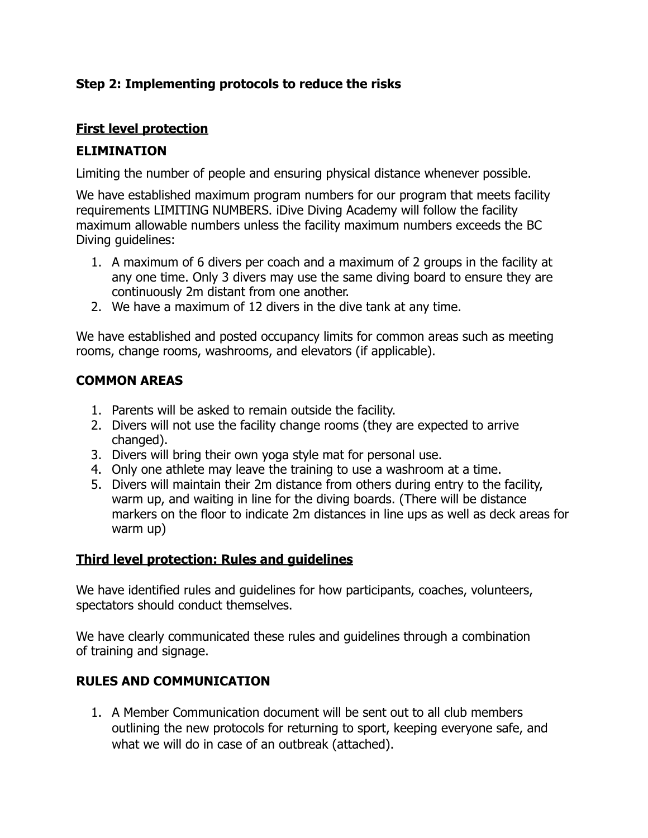## **Step 2: Implementing protocols to reduce the risks**

## **First level protection**

## **ELIMINATION**

Limiting the number of people and ensuring physical distance whenever possible.

We have established maximum program numbers for our program that meets facility requirements LIMITING NUMBERS. iDive Diving Academy will follow the facility maximum allowable numbers unless the facility maximum numbers exceeds the BC Diving guidelines:

- 1. A maximum of 6 divers per coach and a maximum of 2 groups in the facility at any one time. Only 3 divers may use the same diving board to ensure they are continuously 2m distant from one another.
- 2. We have a maximum of 12 divers in the dive tank at any time.

We have established and posted occupancy limits for common areas such as meeting rooms, change rooms, washrooms, and elevators (if applicable).

# **COMMON AREAS**

- 1. Parents will be asked to remain outside the facility.
- 2. Divers will not use the facility change rooms (they are expected to arrive changed).
- 3. Divers will bring their own yoga style mat for personal use.
- 4. Only one athlete may leave the training to use a washroom at a time.
- 5. Divers will maintain their 2m distance from others during entry to the facility, warm up, and waiting in line for the diving boards. (There will be distance markers on the floor to indicate 2m distances in line ups as well as deck areas for warm up)

## **Third level protection: Rules and guidelines**

We have identified rules and guidelines for how participants, coaches, volunteers, spectators should conduct themselves.

We have clearly communicated these rules and guidelines through a combination of training and signage.

# **RULES AND COMMUNICATION**

1. A Member Communication document will be sent out to all club members outlining the new protocols for returning to sport, keeping everyone safe, and what we will do in case of an outbreak (attached).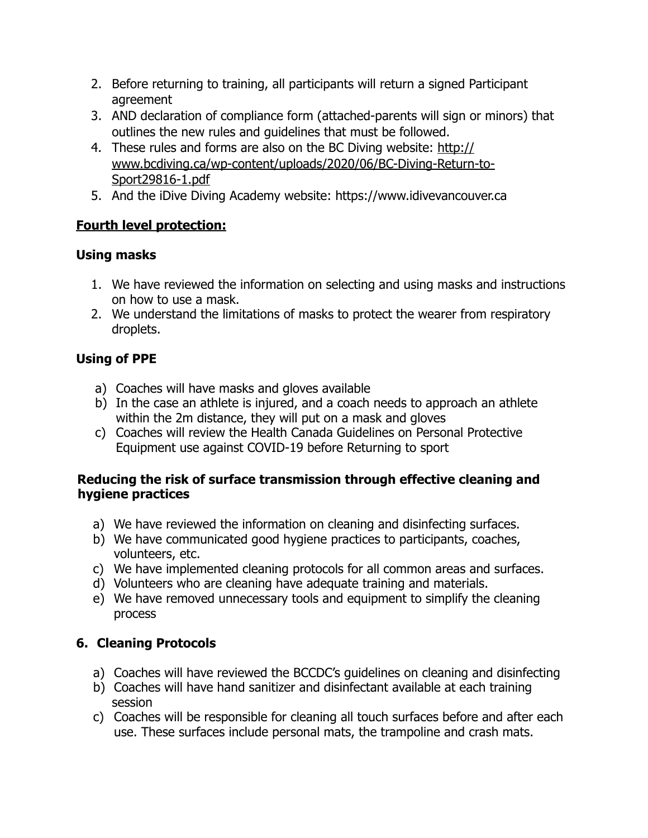- 2. Before returning to training, all participants will return a signed Participant agreement
- 3. AND declaration of compliance form (attached-parents will sign or minors) that outlines the new rules and guidelines that must be followed.
- 4. These rules and forms are also on the BC Diving website: [http://](http://www.bcdiving.ca/wp-content/uploads/2020/06/BC-Diving-Return-to-Sport29816-1.pdf) [www.bcdiving.ca/wp-content/uploads/2020/06/BC-Diving-Return-to-](http://www.bcdiving.ca/wp-content/uploads/2020/06/BC-Diving-Return-to-Sport29816-1.pdf)[Sport29816-1.pdf](http://www.bcdiving.ca/wp-content/uploads/2020/06/BC-Diving-Return-to-Sport29816-1.pdf)
- 5. And the iDive Diving Academy website: https://www.idivevancouver.ca

# **Fourth level protection:**

# **Using masks**

- 1. We have reviewed the information on selecting and using masks and instructions on how to use a mask.
- 2. We understand the limitations of masks to protect the wearer from respiratory droplets.

# **Using of PPE**

- a) Coaches will have masks and gloves available
- b) In the case an athlete is injured, and a coach needs to approach an athlete within the 2m distance, they will put on a mask and gloves
- c) Coaches will review the Health Canada Guidelines on Personal Protective Equipment use against COVID-19 before Returning to sport

#### **Reducing the risk of surface transmission through effective cleaning and hygiene practices**

- a) We have reviewed the information on cleaning and disinfecting surfaces.
- b) We have communicated good hygiene practices to participants, coaches, volunteers, etc.
- c) We have implemented cleaning protocols for all common areas and surfaces.
- d) Volunteers who are cleaning have adequate training and materials.
- e) We have removed unnecessary tools and equipment to simplify the cleaning process

# **6. Cleaning Protocols**

- a) Coaches will have reviewed the BCCDC's guidelines on cleaning and disinfecting
- b) Coaches will have hand sanitizer and disinfectant available at each training session
- c) Coaches will be responsible for cleaning all touch surfaces before and after each use. These surfaces include personal mats, the trampoline and crash mats.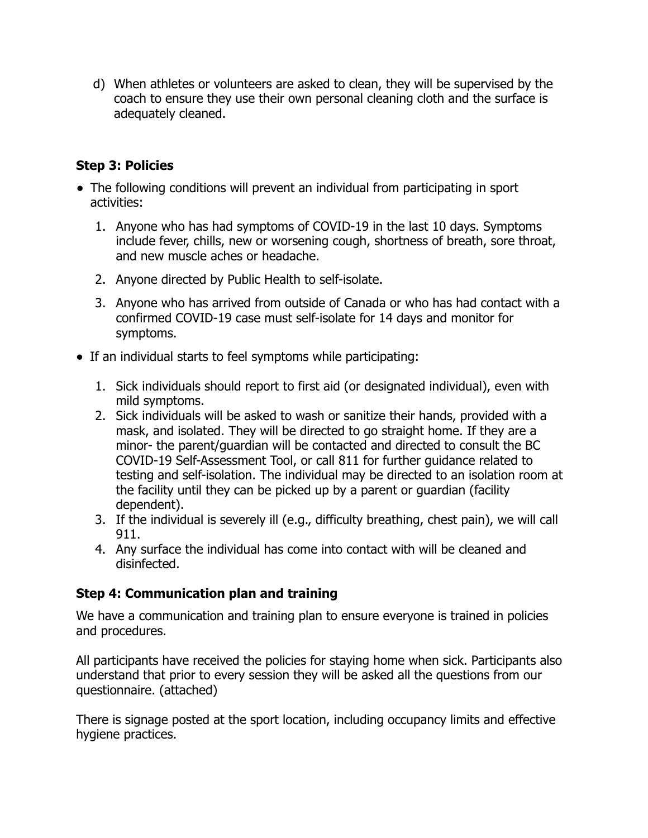d) When athletes or volunteers are asked to clean, they will be supervised by the coach to ensure they use their own personal cleaning cloth and the surface is adequately cleaned.

## **Step 3: Policies**

- The following conditions will prevent an individual from participating in sport activities:
	- 1. Anyone who has had symptoms of COVID-19 in the last 10 days. Symptoms include fever, chills, new or worsening cough, shortness of breath, sore throat, and new muscle aches or headache.
	- 2. Anyone directed by Public Health to self-isolate.
	- 3. Anyone who has arrived from outside of Canada or who has had contact with a confirmed COVID-19 case must self-isolate for 14 days and monitor for symptoms.
- If an individual starts to feel symptoms while participating:
	- 1. Sick individuals should report to first aid (or designated individual), even with mild symptoms.
	- 2. Sick individuals will be asked to wash or sanitize their hands, provided with a mask, and isolated. They will be directed to go straight home. If they are a minor- the parent/guardian will be contacted and directed to consult the BC COVID-19 Self-Assessment Tool, or call 811 for further guidance related to testing and self-isolation. The individual may be directed to an isolation room at the facility until they can be picked up by a parent or guardian (facility dependent).
	- 3. If the individual is severely ill (e.g., difficulty breathing, chest pain), we will call 911.
	- 4. Any surface the individual has come into contact with will be cleaned and disinfected.

# **Step 4: Communication plan and training**

We have a communication and training plan to ensure everyone is trained in policies and procedures.

All participants have received the policies for staying home when sick. Participants also understand that prior to every session they will be asked all the questions from our questionnaire. (attached)

There is signage posted at the sport location, including occupancy limits and effective hygiene practices.